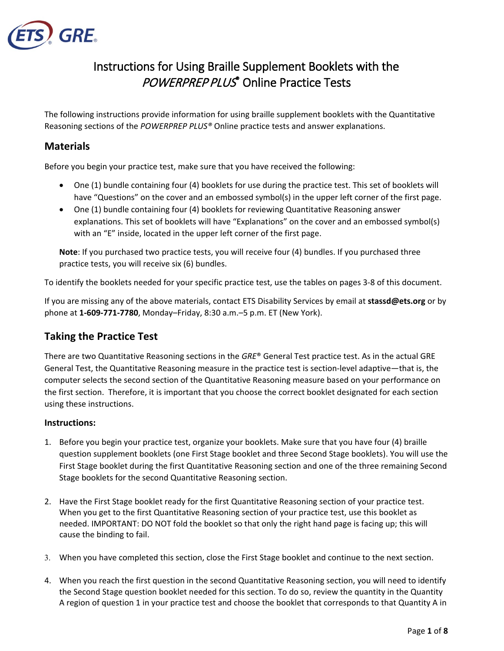

## Instructions for Using Braille Supplement Booklets with the POWERPREP PLUS<sup>®</sup> Online Practice Tests

The following instructions provide information for using braille supplement booklets with the Quantitative Reasoning sections of the *POWERPREP PLUS®* Online practice tests and answer explanations.

#### **Materials**

Before you begin your practice test, make sure that you have received the following:

- One (1) bundle containing four (4) booklets for use during the practice test. This set of booklets will have "Questions" on the cover and an embossed symbol(s) in the upper left corner of the first page.
- One (1) bundle containing four (4) booklets for reviewing Quantitative Reasoning answer explanations. This set of booklets will have "Explanations" on the cover and an embossed symbol(s) with an "E" inside, located in the upper left corner of the first page.

**Note**: If you purchased two practice tests, you will receive four (4) bundles. If you purchased three practice tests, you will receive six (6) bundles.

To identify the booklets needed for your specific practice test, use the tables on pages 3-8 of this document.

If you are missing any of the above materials, contact ETS Disability Services by email at **[stassd@ets.org](mailto:stassd@ets.org)** or by phone at **1-609-771-7780**, Monday–Friday, 8:30 a.m.–5 p.m. ET (New York).

#### **Taking the Practice Test**

There are two Quantitative Reasoning sections in the *GRE*® General Test practice test. As in the actual GRE General Test, the Quantitative Reasoning measure in the practice test is section-level adaptive—that is, the computer selects the second section of the Quantitative Reasoning measure based on your performance on the first section. Therefore, it is important that you choose the correct booklet designated for each section using these instructions.

#### **Instructions:**

- 1. Before you begin your practice test, organize your booklets. Make sure that you have four (4) braille question supplement booklets (one First Stage booklet and three Second Stage booklets). You will use the First Stage booklet during the first Quantitative Reasoning section and one of the three remaining Second Stage booklets for the second Quantitative Reasoning section.
- 2. Have the First Stage booklet ready for the first Quantitative Reasoning section of your practice test. When you get to the first Quantitative Reasoning section of your practice test, use this booklet as needed. IMPORTANT: DO NOT fold the booklet so that only the right hand page is facing up; this will cause the binding to fail.
- 3. When you have completed this section, close the First Stage booklet and continue to the next section.
- 4. When you reach the first question in the second Quantitative Reasoning section, you will need to identify the Second Stage question booklet needed for this section. To do so, review the quantity in the Quantity A region of question 1 in your practice test and choose the booklet that corresponds to that Quantity A in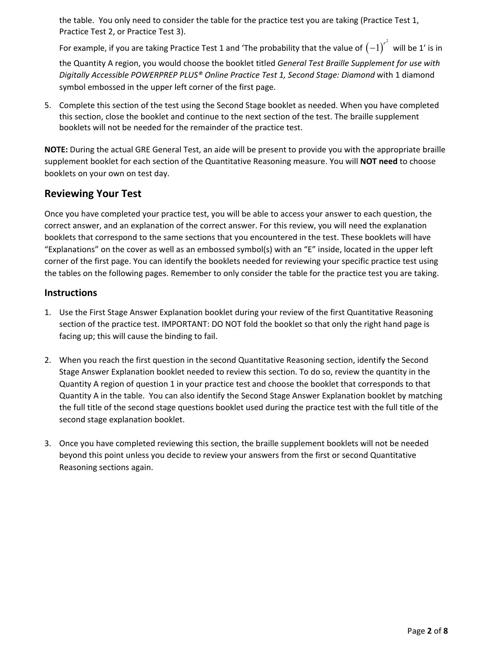the table. You only need to consider the table for the practice test you are taking (Practice Test 1, Practice Test 2, or Practice Test 3).

For example, if you are taking Practice Test 1 and 'The probability that the value of  $(-1)^{r^2}$  will be 1' is in

the Quantity A region, you would choose the booklet titled *General Test Braille Supplement for use with Digitally Accessible POWERPREP PLUS® Online Practice Test 1, Second Stage: Diamond* with 1 diamond symbol embossed in the upper left corner of the first page.

5. Complete this section of the test using the Second Stage booklet as needed. When you have completed this section, close the booklet and continue to the next section of the test. The braille supplement booklets will not be needed for the remainder of the practice test.

**NOTE:** During the actual GRE General Test, an aide will be present to provide you with the appropriate braille supplement booklet for each section of the Quantitative Reasoning measure. You will **NOT need** to choose booklets on your own on test day.

#### **Reviewing Your Test**

Once you have completed your practice test, you will be able to access your answer to each question, the correct answer, and an explanation of the correct answer. For this review, you will need the explanation booklets that correspond to the same sections that you encountered in the test. These booklets will have "Explanations" on the cover as well as an embossed symbol(s) with an "E" inside, located in the upper left corner of the first page. You can identify the booklets needed for reviewing your specific practice test using the tables on the following pages. Remember to only consider the table for the practice test you are taking.

#### **Instructions**

- 1. Use the First Stage Answer Explanation booklet during your review of the first Quantitative Reasoning section of the practice test. IMPORTANT: DO NOT fold the booklet so that only the right hand page is facing up; this will cause the binding to fail.
- 2. When you reach the first question in the second Quantitative Reasoning section, identify the Second Stage Answer Explanation booklet needed to review this section. To do so, review the quantity in the Quantity A region of question 1 in your practice test and choose the booklet that corresponds to that Quantity A in the table. You can also identify the Second Stage Answer Explanation booklet by matching the full title of the second stage questions booklet used during the practice test with the full title of the second stage explanation booklet.
- 3. Once you have completed reviewing this section, the braille supplement booklets will not be needed beyond this point unless you decide to review your answers from the first or second Quantitative Reasoning sections again.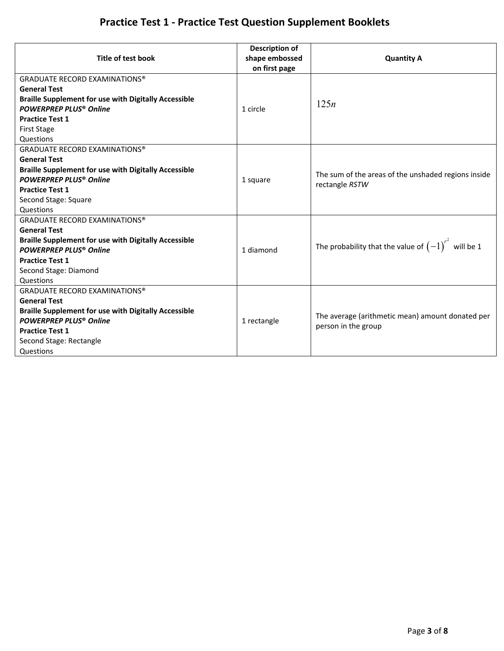## **Practice Test 1 - Practice Test Question Supplement Booklets**

| Title of test book                                          | <b>Description of</b><br>shape embossed | <b>Quantity A</b>                                        |
|-------------------------------------------------------------|-----------------------------------------|----------------------------------------------------------|
|                                                             | on first page                           |                                                          |
| <b>GRADUATE RECORD EXAMINATIONS®</b>                        |                                         |                                                          |
| <b>General Test</b>                                         |                                         |                                                          |
| <b>Braille Supplement for use with Digitally Accessible</b> |                                         | 125n                                                     |
| <b>POWERPREP PLUS<sup>®</sup> Online</b>                    | 1 circle                                |                                                          |
| <b>Practice Test 1</b>                                      |                                         |                                                          |
| <b>First Stage</b>                                          |                                         |                                                          |
| Questions                                                   |                                         |                                                          |
| <b>GRADUATE RECORD EXAMINATIONS®</b>                        |                                         |                                                          |
| <b>General Test</b>                                         |                                         |                                                          |
| <b>Braille Supplement for use with Digitally Accessible</b> |                                         | The sum of the areas of the unshaded regions inside      |
| <b>POWERPREP PLUS<sup>®</sup> Online</b>                    | 1 square                                | rectangle RSTW                                           |
| <b>Practice Test 1</b>                                      |                                         |                                                          |
| Second Stage: Square                                        |                                         |                                                          |
| Questions                                                   |                                         |                                                          |
| <b>GRADUATE RECORD EXAMINATIONS®</b>                        |                                         |                                                          |
| <b>General Test</b>                                         |                                         |                                                          |
| <b>Braille Supplement for use with Digitally Accessible</b> |                                         | The probability that the value of $(-1)^{r^2}$ will be 1 |
| <b>POWERPREP PLUS<sup>®</sup> Online</b>                    | 1 diamond                               |                                                          |
| <b>Practice Test 1</b>                                      |                                         |                                                          |
| Second Stage: Diamond                                       |                                         |                                                          |
| <b>Questions</b>                                            |                                         |                                                          |
| <b>GRADUATE RECORD EXAMINATIONS®</b>                        |                                         |                                                          |
| <b>General Test</b>                                         |                                         |                                                          |
| <b>Braille Supplement for use with Digitally Accessible</b> |                                         | The average (arithmetic mean) amount donated per         |
| <b>POWERPREP PLUS<sup>®</sup> Online</b>                    | 1 rectangle                             | person in the group                                      |
| <b>Practice Test 1</b>                                      |                                         |                                                          |
| Second Stage: Rectangle                                     |                                         |                                                          |
| Questions                                                   |                                         |                                                          |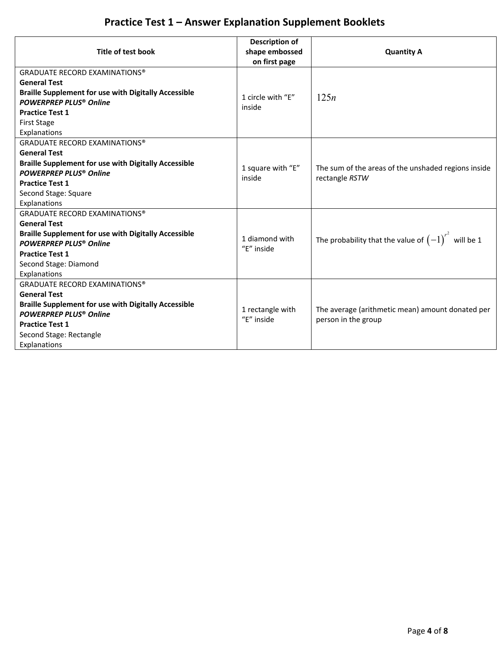# **Practice Test 1 – Answer Explanation Supplement Booklets**

|                                                             | <b>Description of</b> |                                                                       |
|-------------------------------------------------------------|-----------------------|-----------------------------------------------------------------------|
| Title of test book                                          | shape embossed        | <b>Quantity A</b>                                                     |
|                                                             | on first page         |                                                                       |
| <b>GRADUATE RECORD EXAMINATIONS®</b>                        |                       |                                                                       |
| <b>General Test</b>                                         |                       |                                                                       |
| <b>Braille Supplement for use with Digitally Accessible</b> | 1 circle with "E"     | 125n                                                                  |
| <b>POWERPREP PLUS<sup>®</sup> Online</b>                    | inside                |                                                                       |
| <b>Practice Test 1</b>                                      |                       |                                                                       |
| <b>First Stage</b>                                          |                       |                                                                       |
| Explanations                                                |                       |                                                                       |
| <b>GRADUATE RECORD EXAMINATIONS®</b>                        |                       |                                                                       |
| <b>General Test</b>                                         |                       |                                                                       |
| <b>Braille Supplement for use with Digitally Accessible</b> | 1 square with "E"     |                                                                       |
| <b>POWERPREP PLUS<sup>®</sup> Online</b>                    | inside                | The sum of the areas of the unshaded regions inside<br>rectangle RSTW |
| <b>Practice Test 1</b>                                      |                       |                                                                       |
| Second Stage: Square                                        |                       |                                                                       |
| Explanations                                                |                       |                                                                       |
| <b>GRADUATE RECORD EXAMINATIONS®</b>                        |                       |                                                                       |
| <b>General Test</b>                                         |                       |                                                                       |
| <b>Braille Supplement for use with Digitally Accessible</b> | 1 diamond with        | The probability that the value of $(-1)^{r^2}$ will be 1              |
| <b>POWERPREP PLUS<sup>®</sup> Online</b>                    | "E" inside            |                                                                       |
| <b>Practice Test 1</b>                                      |                       |                                                                       |
| Second Stage: Diamond                                       |                       |                                                                       |
| Explanations                                                |                       |                                                                       |
| <b>GRADUATE RECORD EXAMINATIONS®</b>                        |                       |                                                                       |
| <b>General Test</b>                                         |                       |                                                                       |
| <b>Braille Supplement for use with Digitally Accessible</b> | 1 rectangle with      | The average (arithmetic mean) amount donated per                      |
| <b>POWERPREP PLUS<sup>®</sup> Online</b>                    | "E" inside            |                                                                       |
| <b>Practice Test 1</b>                                      |                       | person in the group                                                   |
| Second Stage: Rectangle                                     |                       |                                                                       |
| Explanations                                                |                       |                                                                       |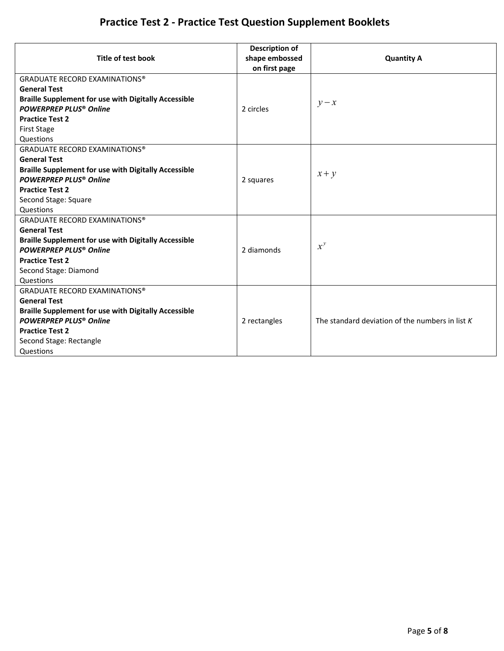## **Practice Test 2 - Practice Test Question Supplement Booklets**

|                                                             | <b>Description of</b> |                                                   |
|-------------------------------------------------------------|-----------------------|---------------------------------------------------|
| <b>Title of test book</b>                                   | shape embossed        | <b>Quantity A</b>                                 |
|                                                             | on first page         |                                                   |
| <b>GRADUATE RECORD EXAMINATIONS®</b>                        |                       |                                                   |
| <b>General Test</b>                                         |                       |                                                   |
| <b>Braille Supplement for use with Digitally Accessible</b> |                       | $y - x$                                           |
| <b>POWERPREP PLUS® Online</b>                               | 2 circles             |                                                   |
| <b>Practice Test 2</b>                                      |                       |                                                   |
| <b>First Stage</b>                                          |                       |                                                   |
| Questions                                                   |                       |                                                   |
| <b>GRADUATE RECORD EXAMINATIONS®</b>                        |                       |                                                   |
| <b>General Test</b>                                         |                       |                                                   |
| <b>Braille Supplement for use with Digitally Accessible</b> |                       | $x + y$                                           |
| <b>POWERPREP PLUS® Online</b>                               | 2 squares             |                                                   |
| <b>Practice Test 2</b>                                      |                       |                                                   |
| Second Stage: Square                                        |                       |                                                   |
| Questions                                                   |                       |                                                   |
| <b>GRADUATE RECORD EXAMINATIONS®</b>                        |                       |                                                   |
| <b>General Test</b>                                         |                       |                                                   |
| <b>Braille Supplement for use with Digitally Accessible</b> |                       | $x^y$                                             |
| <b>POWERPREP PLUS<sup>®</sup> Online</b>                    | 2 diamonds            |                                                   |
| <b>Practice Test 2</b>                                      |                       |                                                   |
| Second Stage: Diamond                                       |                       |                                                   |
| Questions                                                   |                       |                                                   |
| <b>GRADUATE RECORD EXAMINATIONS®</b>                        |                       |                                                   |
| <b>General Test</b>                                         |                       |                                                   |
| <b>Braille Supplement for use with Digitally Accessible</b> |                       |                                                   |
| <b>POWERPREP PLUS® Online</b>                               | 2 rectangles          | The standard deviation of the numbers in list $K$ |
| <b>Practice Test 2</b>                                      |                       |                                                   |
| Second Stage: Rectangle                                     |                       |                                                   |
| Questions                                                   |                       |                                                   |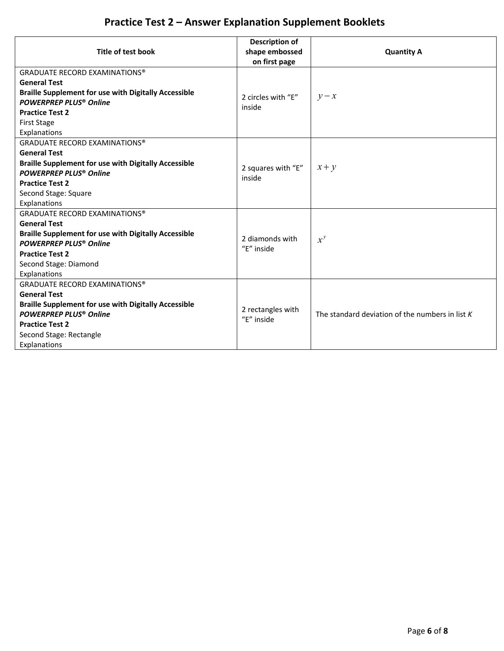# **Practice Test 2 – Answer Explanation Supplement Booklets**

|                                                             | <b>Description of</b> |                                                   |
|-------------------------------------------------------------|-----------------------|---------------------------------------------------|
| Title of test book                                          | shape embossed        | <b>Quantity A</b>                                 |
|                                                             | on first page         |                                                   |
| <b>GRADUATE RECORD EXAMINATIONS®</b>                        |                       |                                                   |
| <b>General Test</b>                                         |                       |                                                   |
| <b>Braille Supplement for use with Digitally Accessible</b> | 2 circles with "E"    | $y - x$                                           |
| <b>POWERPREP PLUS® Online</b>                               | inside                |                                                   |
| <b>Practice Test 2</b>                                      |                       |                                                   |
| <b>First Stage</b>                                          |                       |                                                   |
| Explanations                                                |                       |                                                   |
| <b>GRADUATE RECORD EXAMINATIONS®</b>                        |                       |                                                   |
| <b>General Test</b>                                         |                       |                                                   |
| <b>Braille Supplement for use with Digitally Accessible</b> | 2 squares with "E"    | $x + y$                                           |
| <b>POWERPREP PLUS® Online</b>                               | inside                |                                                   |
| <b>Practice Test 2</b>                                      |                       |                                                   |
| Second Stage: Square                                        |                       |                                                   |
| Explanations                                                |                       |                                                   |
| <b>GRADUATE RECORD EXAMINATIONS®</b>                        |                       |                                                   |
| <b>General Test</b>                                         |                       |                                                   |
| <b>Braille Supplement for use with Digitally Accessible</b> | 2 diamonds with       | $x^y$                                             |
| <b>POWERPREP PLUS® Online</b>                               | "E" inside            |                                                   |
| <b>Practice Test 2</b>                                      |                       |                                                   |
| Second Stage: Diamond                                       |                       |                                                   |
| Explanations                                                |                       |                                                   |
| <b>GRADUATE RECORD EXAMINATIONS®</b>                        |                       |                                                   |
| <b>General Test</b>                                         |                       |                                                   |
| <b>Braille Supplement for use with Digitally Accessible</b> | 2 rectangles with     |                                                   |
| <b>POWERPREP PLUS<sup>®</sup> Online</b>                    | "E" inside            | The standard deviation of the numbers in list $K$ |
| <b>Practice Test 2</b>                                      |                       |                                                   |
| Second Stage: Rectangle                                     |                       |                                                   |
| Explanations                                                |                       |                                                   |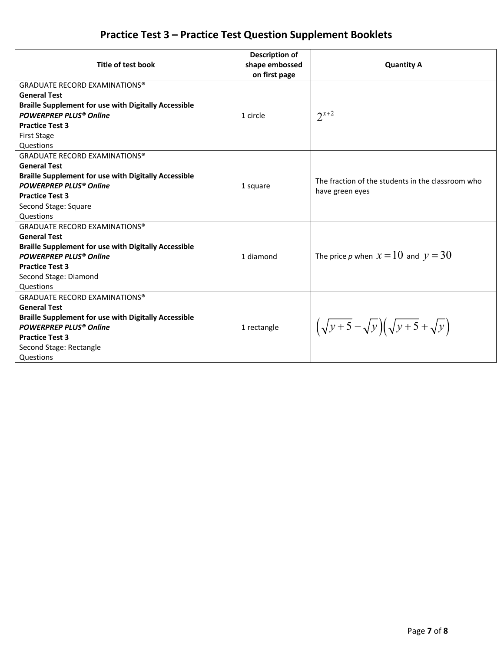## **Practice Test 3 – Practice Test Question Supplement Booklets**

| Title of test book                                          | <b>Description of</b><br>shape embossed | <b>Quantity A</b>                                                  |
|-------------------------------------------------------------|-----------------------------------------|--------------------------------------------------------------------|
|                                                             | on first page                           |                                                                    |
| <b>GRADUATE RECORD EXAMINATIONS®</b>                        |                                         |                                                                    |
| <b>General Test</b>                                         |                                         |                                                                    |
| <b>Braille Supplement for use with Digitally Accessible</b> |                                         |                                                                    |
| <b>POWERPREP PLUS® Online</b>                               | 1 circle                                | $2^{x+2}$                                                          |
| <b>Practice Test 3</b>                                      |                                         |                                                                    |
| <b>First Stage</b>                                          |                                         |                                                                    |
| Questions                                                   |                                         |                                                                    |
| <b>GRADUATE RECORD EXAMINATIONS®</b>                        |                                         |                                                                    |
| <b>General Test</b>                                         |                                         |                                                                    |
| <b>Braille Supplement for use with Digitally Accessible</b> |                                         | The fraction of the students in the classroom who                  |
| <b>POWERPREP PLUS® Online</b>                               | 1 square                                | have green eyes                                                    |
| <b>Practice Test 3</b>                                      |                                         |                                                                    |
| Second Stage: Square                                        |                                         |                                                                    |
| Questions                                                   |                                         |                                                                    |
| <b>GRADUATE RECORD EXAMINATIONS®</b>                        |                                         |                                                                    |
| <b>General Test</b>                                         |                                         |                                                                    |
| <b>Braille Supplement for use with Digitally Accessible</b> |                                         |                                                                    |
| <b>POWERPREP PLUS® Online</b>                               | 1 diamond                               | The price p when $x=10$ and $y=30$                                 |
| <b>Practice Test 3</b>                                      |                                         |                                                                    |
| Second Stage: Diamond                                       |                                         |                                                                    |
| <b>Questions</b>                                            |                                         |                                                                    |
| <b>GRADUATE RECORD EXAMINATIONS®</b>                        |                                         |                                                                    |
| <b>General Test</b>                                         |                                         |                                                                    |
| <b>Braille Supplement for use with Digitally Accessible</b> |                                         |                                                                    |
| <b>POWERPREP PLUS® Online</b>                               | 1 rectangle                             | $\left(\sqrt{y+5}-\sqrt{y}\right)\left(\sqrt{y+5}+\sqrt{y}\right)$ |
| <b>Practice Test 3</b>                                      |                                         |                                                                    |
| Second Stage: Rectangle                                     |                                         |                                                                    |
| Questions                                                   |                                         |                                                                    |